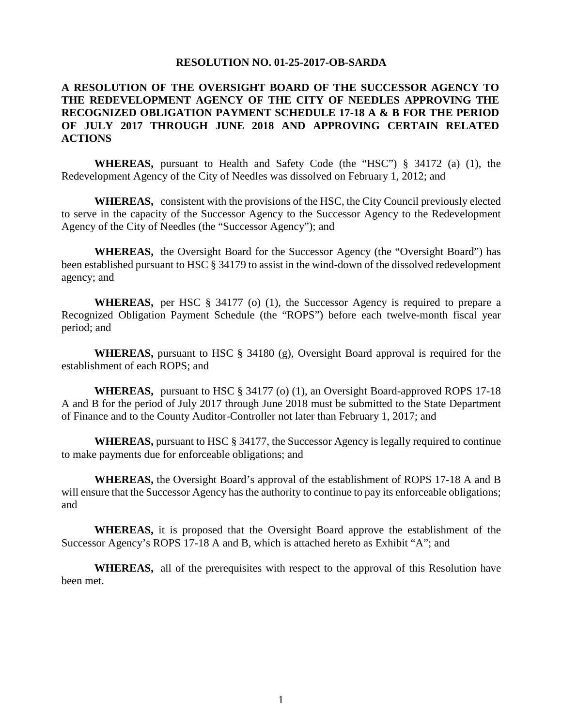#### **RESOLUTION NO. 01-25-2017-OB-SARDA**

### **A RESOLUTION OF THE OVERSIGHT BOARD OF THE SUCCESSOR AGENCY TO THE REDEVELOPMENT AGENCY OF THE CITY OF NEEDLES APPROVING THE RECOGNIZED OBLIGATION PAYMENT SCHEDULE 17-18 A & B FOR THE PERIOD OF JULY 2017 THROUGH JUNE 2018 AND APPROVING CERTAIN RELATED ACTIONS**

**WHEREAS,** pursuant to Health and Safety Code (the "HSC") § 34172 (a) (1), the Redevelopment Agency of the City of Needles was dissolved on February 1, 2012; and

**WHEREAS,** consistent with the provisions of the HSC, the City Council previously elected to serve in the capacity of the Successor Agency to the Successor Agency to the Redevelopment Agency of the City of Needles (the "Successor Agency"); and

**WHEREAS,** the Oversight Board for the Successor Agency (the "Oversight Board") has been established pursuant to HSC § 34179 to assist in the wind-down of the dissolved redevelopment agency; and

**WHEREAS,** per HSC § 34177 (o) (1), the Successor Agency is required to prepare a Recognized Obligation Payment Schedule (the "ROPS") before each twelve-month fiscal year period; and

**WHEREAS,** pursuant to HSC § 34180 (g), Oversight Board approval is required for the establishment of each ROPS; and

**WHEREAS,** pursuant to HSC § 34177 (o) (1), an Oversight Board-approved ROPS 17-18 A and B for the period of July 2017 through June 2018 must be submitted to the State Department of Finance and to the County Auditor-Controller not later than February 1, 2017; and

**WHEREAS,** pursuant to HSC § 34177, the Successor Agency is legally required to continue to make payments due for enforceable obligations; and

**WHEREAS,** the Oversight Board's approval of the establishment of ROPS 17-18 A and B will ensure that the Successor Agency has the authority to continue to pay its enforceable obligations; and

**WHEREAS,** it is proposed that the Oversight Board approve the establishment of the Successor Agency's ROPS 17-18 A and B, which is attached hereto as Exhibit "A"; and

**WHEREAS,** all of the prerequisites with respect to the approval of this Resolution have been met.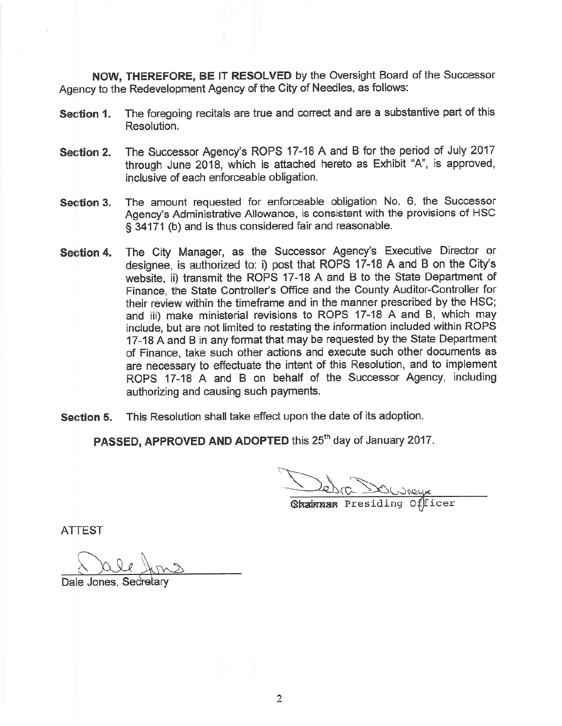NOW, THEREFORE, BE IT RESOLVED by the Oversight Board of the Successor Agency to the Redevelopment Agency of the City of Needles, as follows:

- The foregoing recitals are true and correct and are a substantive part of this Section 1. Resolution.
- The Successor Agency's ROPS 17-18 A and B for the period of July 2017 Section 2. through June 2018, which is attached hereto as Exhibit "A", is approved, inclusive of each enforceable obligation.
- The amount requested for enforceable obligation No. 6, the Successor Section 3. Agency's Administrative Allowance, is consistent with the provisions of HSC § 34171 (b) and is thus considered fair and reasonable.
- The City Manager, as the Successor Agency's Executive Director or Section 4. designee, is authorized to: i) post that ROPS 17-18 A and B on the City's website, ii) transmit the ROPS 17-18 A and B to the State Department of Finance, the State Controller's Office and the County Auditor-Controller for their review within the timeframe and in the manner prescribed by the HSC; and iii) make ministerial revisions to ROPS 17-18 A and B. which mav include, but are not limited to restating the information included within ROPS 17-18 A and B in any format that may be requested by the State Department of Finance, take such other actions and execute such other documents as are necessary to effectuate the intent of this Resolution, and to implement ROPS 17-18 A and B on behalf of the Successor Agency, including authorizing and causing such payments.
- This Resolution shall take effect upon the date of its adoption. Section 5.

PASSED. APPROVED AND ADOPTED this 25<sup>th</sup> day of January 2017.

**Chainnan** Presiding Officer

**ATTEST** 

Dale Jones, Secretary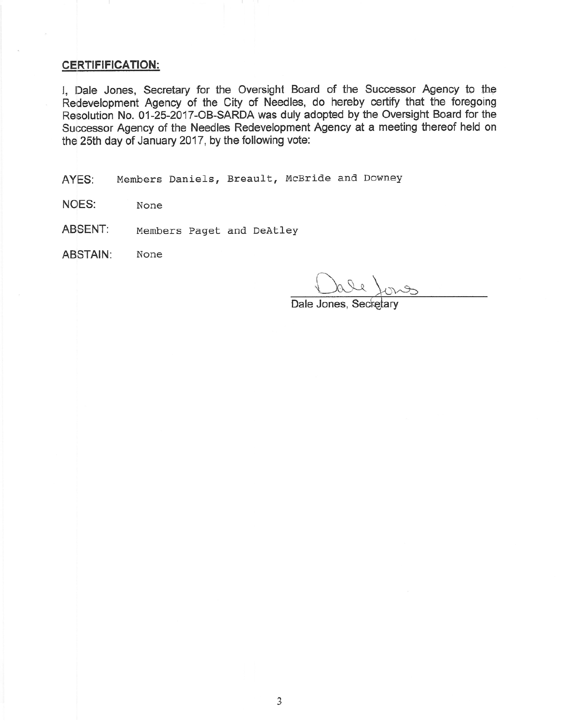#### **CERTIFIFICATION:**

I, Dale Jones, Secretary for the Oversight Board of the Successor Agency to the Redevelopment Agency of the City of Needles, do hereby certify that the foregoing Resolution No. 01-25-2017-OB-SARDA was duly adopted by the Oversight Board for the Successor Agency of the Needles Redevelopment Agency at a meeting thereof held on the 25th day of January 2017, by the following vote:

Members Daniels, Breault, McBride and Downey AYES:

**NOES:** None

ABSENT: Members Paget and DeAtley

**ABSTAIN:** None

Dale Jones, Secretary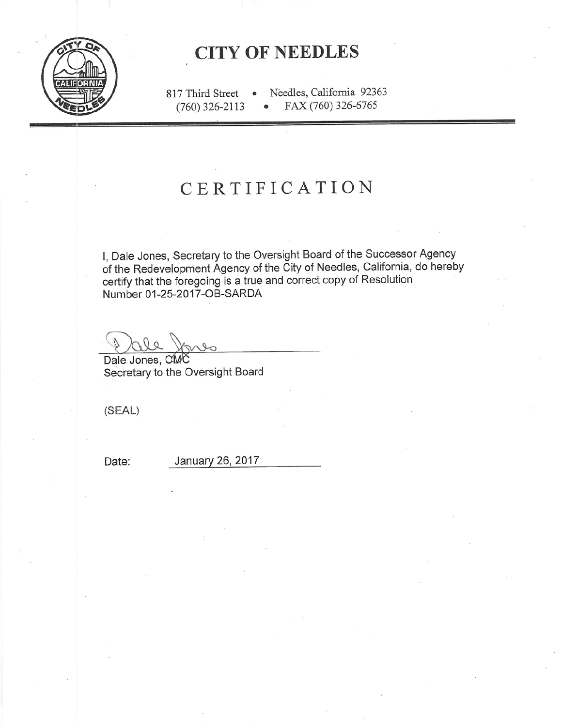

# **CITY OF NEEDLES**

Needles, California 92363 817 Third Street  $\bullet$  $(760)$  326-2113 FAX (760) 326-6765  $\bullet$ 

# CERTIFICATION

I, Dale Jones, Secretary to the Oversight Board of the Successor Agency of the Redevelopment Agency of the City of Needles, California, do hereby certify that the foregoing is a true and correct copy of Resolution Number 01-25-2017-OB-SARDA

 $000$ 

Dale Jones, CMC Secretary to the Oversight Board

 $(SEAL)$ 

Date:

January 26, 2017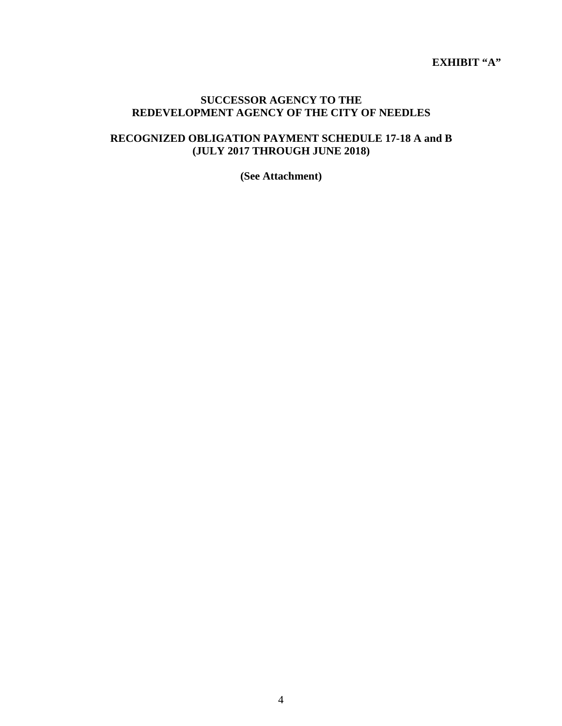**EXHIBIT "A"**

#### **SUCCESSOR AGENCY TO THE REDEVELOPMENT AGENCY OF THE CITY OF NEEDLES**

## **RECOGNIZED OBLIGATION PAYMENT SCHEDULE 17-18 A and B (JULY 2017 THROUGH JUNE 2018)**

**(See Attachment)**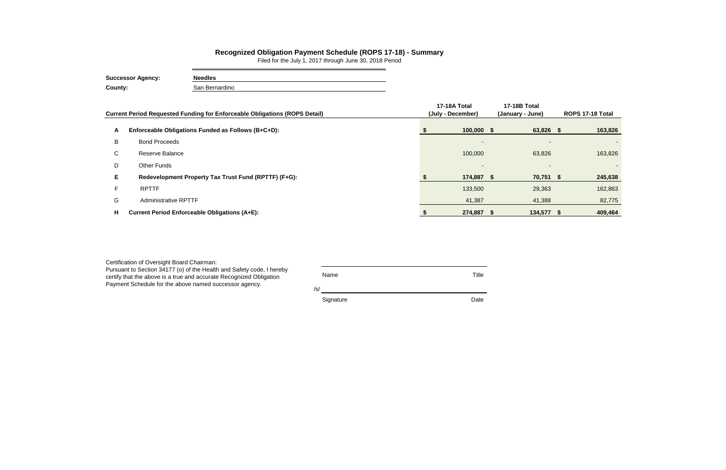|    | Current Period Requested Funding for Enforceable Obligations (ROPS Detail) | 17-18A Total<br>(July - December) | 17-18B Total<br>(January - June) |  | ROPS 17-18 Total |  |
|----|----------------------------------------------------------------------------|-----------------------------------|----------------------------------|--|------------------|--|
| A  | Enforceable Obligations Funded as Follows (B+C+D):                         | $100,000$ \$                      | 63,826 \$                        |  | 163,826          |  |
| B  | <b>Bond Proceeds</b>                                                       |                                   |                                  |  |                  |  |
| C  | Reserve Balance                                                            | 100,000                           | 63,826                           |  | 163,826          |  |
| D  | Other Funds                                                                | $\overline{\phantom{a}}$          |                                  |  |                  |  |
|    | Redevelopment Property Tax Trust Fund (RPTTF) (F+G):                       | 174,887 \$                        | 70,751 \$                        |  | 245,638          |  |
|    | <b>RPTTF</b>                                                               | 133,500                           | 29,363                           |  | 162,863          |  |
| G  | <b>Administrative RPTTF</b>                                                | 41,387                            | 41,388                           |  | 82,775           |  |
| Н. | <b>Current Period Enforceable Obligations (A+E):</b>                       | 274,887 \$                        | 134,577 \$                       |  | 409,464          |  |

| Certification of Oversight Board Chairman:<br>Pursuant to Section 34177 (o) of the Health and Safety code, I hereby<br>certify that the above is a true and accurate Recognized Obligation<br>Payment Schedule for the above named successor agency. | Name<br>/s/ | Title |
|------------------------------------------------------------------------------------------------------------------------------------------------------------------------------------------------------------------------------------------------------|-------------|-------|
|                                                                                                                                                                                                                                                      | Signature   | Date  |

## **Recognized Obligation Payment Schedule (ROPS 17-18) - Summary**

Filed for the July 1, 2017 through June 30, 2018 Period

| <b>Successor Agency:</b> | <b>Needles</b> |
|--------------------------|----------------|
| County:                  | San Bernardino |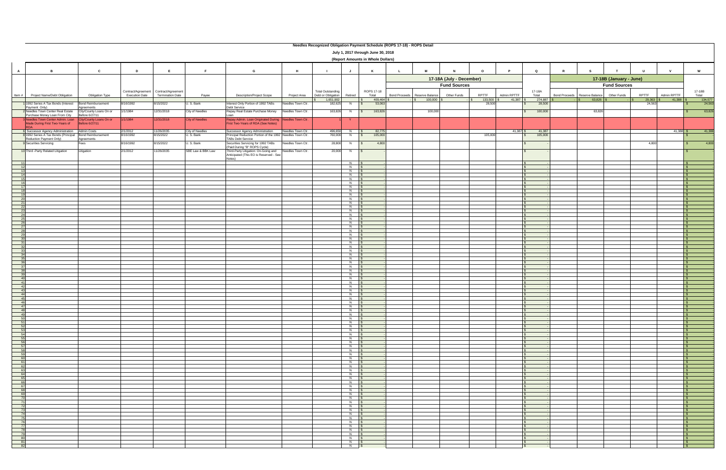|                                                                       | Needles Recognized Obligation Payment Schedule (ROPS 17-18) - ROPS Detail |                                           |                                             |                                               |                               |                                                                                                                                  |                   |                                                             |                                       |                                   |               |                                |                          |                  |                       |                            |                                                   |                         |                 |                       |                              |
|-----------------------------------------------------------------------|---------------------------------------------------------------------------|-------------------------------------------|---------------------------------------------|-----------------------------------------------|-------------------------------|----------------------------------------------------------------------------------------------------------------------------------|-------------------|-------------------------------------------------------------|---------------------------------------|-----------------------------------|---------------|--------------------------------|--------------------------|------------------|-----------------------|----------------------------|---------------------------------------------------|-------------------------|-----------------|-----------------------|------------------------------|
|                                                                       | July 1, 2017 through June 30, 2018<br>(Report Amounts in Whole Dollars)   |                                           |                                             |                                               |                               |                                                                                                                                  |                   |                                                             |                                       |                                   |               |                                |                          |                  |                       |                            |                                                   |                         |                 |                       |                              |
| A                                                                     | $\overline{B}$                                                            | C                                         | D                                           | E                                             | F                             | G                                                                                                                                | Н.                |                                                             | J                                     | K                                 | $\mathbf{L}$  | M                              | N                        | $\circ$          |                       | $\mathbf Q$                | $\mathbb{R}$                                      |                         | $\mathbf{U}$    | $\mathbf v$           | <b>W</b>                     |
|                                                                       |                                                                           |                                           |                                             |                                               |                               |                                                                                                                                  |                   |                                                             |                                       |                                   |               |                                | 17-18A (July - December) |                  |                       |                            |                                                   | 17-18B (January - June) |                 |                       |                              |
|                                                                       |                                                                           |                                           |                                             |                                               |                               |                                                                                                                                  |                   |                                                             |                                       |                                   |               |                                | <b>Fund Sources</b>      |                  |                       |                            | <b>Fund Sources</b>                               |                         |                 |                       |                              |
| Item #                                                                | Project Name/Debt Obligation                                              | Obligation Type                           | Contract/Agreement<br><b>Execution Date</b> | Contract/Agreement<br><b>Termination Date</b> | Payee                         | <b>Description/Project Scope</b>                                                                                                 | Project Area      | <b>Total Outstanding</b><br>Debt or Obligation<br>1,651,902 | Retired                               | ROPS 17-18<br>Total<br>409,464 \$ | Bond Proceeds | Reserve Balance<br>$100,000$ : | Other Funds              | RPTTF<br>133,500 | Admin RPTTF<br>41,387 | 17-18A<br>Total<br>274,887 | Reserve Balance<br><b>Bond Proceeds</b><br>63,826 | Other Funds             | RPTTF<br>29,363 | Admin RPTTF<br>41,388 | 17-18B<br>Total<br>134,577   |
|                                                                       | 1992 Series A Tax Bonds (Interest<br>Payment Only)                        | <b>Bond Reimbursement</b><br>greements    | 8/16/1992                                   | 3/15/2022                                     | U. S. Bank                    | Interest Only Portion of 1992 TABs<br>Debt Service                                                                               | Needles Town Ctr. | 182,625                                                     | N                                     | 53,063                            |               |                                |                          | 28,500           |                       | 28,500                     |                                                   |                         | 24,563          |                       | 24,563                       |
|                                                                       | Needles Town Center Real Estate<br>Purchase Money Loan From City          | City/County Loans On or<br>Before 6/27/11 | 1/1/1984                                    | 12/31/2018                                    | City of Needles               | Repay Real Estate Purchase Money                                                                                                 | Needles Town Ctr. | 163,826                                                     | N                                     | 163,826                           |               | 100,000                        |                          |                  |                       | 100,000                    | 63,826                                            |                         |                 |                       | 63,826                       |
|                                                                       | leedles Town Center Admin. Loan<br>Made During First Two-Years of         | City/County Loans On or<br>Before 6/27/11 | 1/1/1984                                    | 12/31/2018                                    | <b>City of Needles</b>        | Repay Admin. Loan Originated During Needles Town Ctr.<br>First Two-Years of RDA (See Notes)                                      |                   |                                                             |                                       |                                   |               |                                |                          |                  |                       |                            |                                                   |                         |                 |                       |                              |
|                                                                       | 6 Successor Agency Administration<br>1992 Series A Tax Bonds (Principal   | Admin Costs<br><b>Bond Reimbursement</b>  | 2/1/2012<br>8/16/1992                       | 11/26/2035<br>8/15/2022                       | City of Needles<br>U. S. Bank | Successor Agency Administration<br>Principal Reduction Portion of the 1992 Needles Town Ctr.                                     | Needles Town Ctr. | 496,650<br>760,000                                          | $N$ $\sqrt{S}$<br>N                   | 82,775<br>105,000<br>$\mathsf{s}$ |               |                                |                          | 105,000          | 41.387 \$             | 41,387<br>105,000          |                                                   |                         |                 | 41.388                | 41,388                       |
|                                                                       | Reduction Payment Only)<br><b>Securities Servicing</b>                    | Agreements<br>Fees                        | 8/16/1992                                   | 8/15/2022                                     | U. S. Bank                    | TABs Debt Service<br>Securities Servicing for 1992 TABs                                                                          | Needles Town Ctr. | 28,800                                                      | N                                     | 4,800                             |               |                                |                          |                  |                       |                            |                                                   |                         | 4,800           |                       | 4,800                        |
|                                                                       | 10 Third - Party Related Litigation                                       | Litigation                                | 2/1/2012                                    | 11/26/2035                                    | SBE Law & BBK Law             | (Paid During "B" ROPS Cycle)<br>Third-Party Litigation: On-Going and Needles Town Ctr.<br>Anticipated (This EO is Reserved - See |                   | 20,000                                                      | N.                                    |                                   |               |                                |                          |                  |                       |                            |                                                   |                         |                 |                       |                              |
|                                                                       |                                                                           |                                           |                                             |                                               |                               | Notes)                                                                                                                           |                   |                                                             | $N$ $\sqrt{s}$                        |                                   |               |                                |                          |                  |                       |                            |                                                   |                         |                 |                       |                              |
|                                                                       |                                                                           |                                           |                                             |                                               |                               |                                                                                                                                  |                   |                                                             | $N$ $S$<br>$N$ \$<br>$N$ $s$          |                                   |               |                                |                          |                  |                       |                            |                                                   |                         |                 |                       |                              |
|                                                                       |                                                                           |                                           |                                             |                                               |                               |                                                                                                                                  |                   |                                                             | $N$ $S$<br>$N$ $\sqrt{S}$             |                                   |               |                                |                          |                  |                       |                            |                                                   |                         |                 |                       |                              |
| 17                                                                    |                                                                           |                                           |                                             |                                               |                               |                                                                                                                                  |                   |                                                             | $N$ $S$<br>$N$ $S$                    |                                   |               |                                |                          |                  |                       |                            |                                                   |                         |                 |                       |                              |
| 20                                                                    |                                                                           |                                           |                                             |                                               |                               |                                                                                                                                  |                   |                                                             | $N$ $S$<br>$N$ $\sqrt{S}$             |                                   |               |                                |                          |                  |                       |                            |                                                   |                         |                 |                       |                              |
| 21<br>$^{22}$                                                         |                                                                           |                                           |                                             |                                               |                               |                                                                                                                                  |                   |                                                             | $N$ $S$<br>$N$ $s$<br>$N$ $\sqrt{s}$  |                                   |               |                                |                          |                  |                       |                            |                                                   |                         |                 |                       |                              |
| 24<br>25                                                              |                                                                           |                                           |                                             |                                               |                               |                                                                                                                                  |                   |                                                             | $N$ $S$<br>$N$ $S$                    |                                   |               |                                |                          |                  |                       |                            |                                                   |                         |                 |                       | $\mathbb{R}$                 |
| 26<br>27                                                              |                                                                           |                                           |                                             |                                               |                               |                                                                                                                                  |                   |                                                             | $N$ $S$<br>$N$ $\sqrt{S}$             |                                   |               |                                |                          |                  |                       |                            |                                                   |                         |                 |                       |                              |
| - 28                                                                  |                                                                           |                                           |                                             |                                               |                               |                                                                                                                                  |                   |                                                             | $N$ $S$<br>$N$ $S$                    |                                   |               |                                |                          |                  |                       |                            |                                                   |                         |                 |                       |                              |
| 30<br>- 31                                                            |                                                                           |                                           |                                             |                                               |                               |                                                                                                                                  |                   |                                                             | $N$ $S$<br>$N$ $\sqrt{S}$<br>$N$ $S$  |                                   |               |                                |                          |                  |                       |                            |                                                   |                         |                 |                       |                              |
| 34                                                                    |                                                                           |                                           |                                             |                                               |                               |                                                                                                                                  |                   |                                                             | $N$ \$<br>$N$ $S$                     |                                   |               |                                |                          |                  |                       |                            |                                                   |                         |                 |                       |                              |
| - 35<br>- 36                                                          |                                                                           |                                           |                                             |                                               |                               |                                                                                                                                  |                   |                                                             | $N$ $S$<br>$N$ $\sqrt{S}$             |                                   |               |                                |                          |                  |                       |                            |                                                   |                         |                 |                       |                              |
| - 31<br>38                                                            |                                                                           |                                           |                                             |                                               |                               |                                                                                                                                  |                   |                                                             | $N$ $S$<br>$N$ $S$<br>$N$ $S$         |                                   |               |                                |                          |                  |                       |                            |                                                   |                         |                 |                       |                              |
| - 40<br>41                                                            |                                                                           |                                           |                                             |                                               |                               |                                                                                                                                  |                   |                                                             | $N$ $S$<br>$N$ $\sqrt{s}$             |                                   |               |                                |                          |                  |                       |                            |                                                   |                         |                 |                       |                              |
| 42<br>43                                                              |                                                                           |                                           |                                             |                                               |                               |                                                                                                                                  |                   |                                                             | $N$ $S$<br>$N$ $S$                    |                                   |               |                                |                          |                  |                       |                            |                                                   |                         |                 |                       |                              |
| 44<br>45                                                              |                                                                           |                                           |                                             |                                               |                               |                                                                                                                                  |                   |                                                             | N<br>$\sim$<br>$N$ $\sqrt{S}$         |                                   |               |                                |                          |                  |                       |                            |                                                   |                         |                 |                       |                              |
| 46<br>$\frac{47}{48}$                                                 |                                                                           |                                           |                                             |                                               |                               |                                                                                                                                  |                   |                                                             | $N$ $\sqrt{S}$<br>$N$ \$              |                                   |               |                                |                          |                  |                       |                            |                                                   |                         |                 |                       | IS-                          |
| 49                                                                    |                                                                           |                                           |                                             |                                               |                               |                                                                                                                                  |                   |                                                             | $N$ $S$<br>$N$ $S$<br>N <sub>\$</sub> |                                   |               |                                |                          |                  |                       |                            |                                                   |                         |                 |                       | $\mathsf{S}$                 |
| $\frac{50}{51}$                                                       |                                                                           |                                           |                                             |                                               |                               |                                                                                                                                  |                   |                                                             | N \$<br>N   \$                        |                                   |               |                                |                          |                  |                       |                            |                                                   |                         |                 |                       | ∣\$.                         |
| 53<br>54                                                              |                                                                           |                                           |                                             |                                               |                               |                                                                                                                                  |                   |                                                             | $N$ $\sqrt{s}$<br>$N$ $S$             |                                   |               |                                |                          |                  |                       | $\sim$ 100 $\pm$           |                                                   |                         |                 |                       | $\mathbb{S}$<br>$\sqrt{S}$   |
| 55<br>$\frac{56}{57}$                                                 |                                                                           |                                           |                                             |                                               |                               |                                                                                                                                  |                   |                                                             | $N$ \$<br>N \$<br>$N$ $\sqrt{S}$      |                                   |               |                                |                          |                  |                       |                            |                                                   |                         |                 |                       | $\mathsf{S}$<br>IS-<br>IS-   |
| 58<br>59                                                              |                                                                           |                                           |                                             |                                               |                               |                                                                                                                                  |                   |                                                             | N \$<br>$N$ \$                        |                                   |               |                                |                          |                  |                       |                            |                                                   |                         |                 |                       | $\sqrt{s}$                   |
| 60<br>61                                                              |                                                                           |                                           |                                             |                                               |                               |                                                                                                                                  |                   |                                                             | N \$<br>$N$ $\sqrt{S}$                |                                   |               |                                |                          |                  |                       |                            |                                                   |                         |                 |                       | ∣\$.<br>IS-                  |
| $\begin{array}{r} 62 \\ 63 \\ 64 \end{array}$                         |                                                                           |                                           |                                             |                                               |                               |                                                                                                                                  |                   |                                                             | $N$ \$<br>$N$ \$                      |                                   |               |                                |                          |                  |                       |                            |                                                   |                         |                 |                       | $\mathbb{R}$                 |
| 65                                                                    |                                                                           |                                           |                                             |                                               |                               |                                                                                                                                  |                   |                                                             | N \$<br>N \$<br>$N$ $\sqrt{s}$        |                                   |               |                                |                          |                  |                       |                            |                                                   |                         |                 |                       | IS-<br>IS-                   |
| $\begin{array}{r}\n 66 \\ \hline\n 67\n \end{array}$<br>$rac{68}{68}$ |                                                                           |                                           |                                             |                                               |                               |                                                                                                                                  |                   |                                                             | $N$ \$<br>$N_S$                       |                                   |               |                                |                          |                  |                       |                            |                                                   |                         |                 |                       | $\sqrt{S}$                   |
| 69<br>70                                                              |                                                                           |                                           |                                             |                                               |                               |                                                                                                                                  |                   |                                                             | $N$ $\sqrt{S}$<br>$N$ \$              |                                   |               |                                |                          |                  |                       |                            |                                                   |                         |                 |                       | IS.<br>$\mathbb{R}$          |
| 71<br>$\frac{11}{72}$                                                 |                                                                           |                                           |                                             |                                               |                               |                                                                                                                                  |                   |                                                             | $N$ \$<br>N   \$                      |                                   |               |                                |                          |                  |                       |                            |                                                   |                         |                 |                       | $\mathsf{S}$                 |
| 73<br>74                                                              |                                                                           |                                           |                                             |                                               |                               |                                                                                                                                  |                   |                                                             | $N$ $\sqrt{S}$<br>$N$ \$<br>$N$ \$    |                                   |               |                                |                          |                  |                       |                            |                                                   |                         |                 |                       | $\mathbb{R}$<br>$\mathsf{S}$ |
| $\frac{75}{76}$<br>77                                                 |                                                                           |                                           |                                             |                                               |                               |                                                                                                                                  |                   |                                                             | N \$<br>$N$ $\sqrt{S}$                |                                   |               |                                |                          |                  |                       |                            |                                                   |                         |                 |                       | ∣\$.                         |
| 78<br>79                                                              |                                                                           |                                           |                                             |                                               |                               |                                                                                                                                  |                   |                                                             | $N$ $\sqrt{s}$<br>$N$ \$              |                                   |               |                                |                          |                  |                       |                            |                                                   |                         |                 |                       | IS-<br>$\sqrt{S}$            |
|                                                                       |                                                                           |                                           |                                             |                                               |                               |                                                                                                                                  |                   |                                                             | $N$ \$<br>$N$ $\sqrt{S}$              |                                   |               |                                |                          |                  |                       |                            |                                                   |                         |                 |                       | $\mathsf{S}$<br>IS.          |
|                                                                       |                                                                           |                                           |                                             |                                               |                               |                                                                                                                                  |                   |                                                             | $N$ \$                                |                                   |               |                                |                          |                  |                       |                            |                                                   |                         |                 |                       |                              |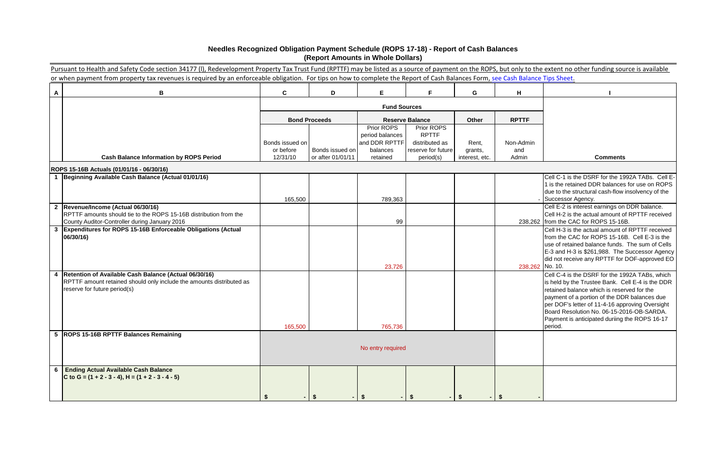# **Needles Recognized Obligation Payment Schedule (ROPS 17-18) - Report of Cash Balances (Report Amounts in Whole Dollars)**

|   | Pursuant to Health and Safety Code section 34177 (I), Redevelopment Property Tax Trust Fund (RPTTF) may be listed as a source of payment on the ROPS, but only to the extent no other funding source is available<br>or when payment from property tax revenues is required by an enforceable obligation. For tips on how to complete the Report of Cash Balances Form, see Cash Balance Tips Sheet. |                       |                                      |                               |                                 |                           |              |                                                                                                     |  |
|---|------------------------------------------------------------------------------------------------------------------------------------------------------------------------------------------------------------------------------------------------------------------------------------------------------------------------------------------------------------------------------------------------------|-----------------------|--------------------------------------|-------------------------------|---------------------------------|---------------------------|--------------|-----------------------------------------------------------------------------------------------------|--|
|   |                                                                                                                                                                                                                                                                                                                                                                                                      |                       |                                      |                               |                                 |                           |              |                                                                                                     |  |
| A | B                                                                                                                                                                                                                                                                                                                                                                                                    | $\mathbf{C}$          | D                                    | E.                            | F.                              | G                         | H            |                                                                                                     |  |
|   |                                                                                                                                                                                                                                                                                                                                                                                                      |                       |                                      | <b>Fund Sources</b>           |                                 |                           |              |                                                                                                     |  |
|   |                                                                                                                                                                                                                                                                                                                                                                                                      |                       | <b>Bond Proceeds</b>                 |                               | <b>Reserve Balance</b>          | Other                     | <b>RPTTF</b> |                                                                                                     |  |
|   |                                                                                                                                                                                                                                                                                                                                                                                                      |                       |                                      | Prior ROPS<br>period balances | Prior ROPS<br><b>RPTTF</b>      |                           |              |                                                                                                     |  |
|   |                                                                                                                                                                                                                                                                                                                                                                                                      | Bonds issued on       |                                      | and DDR RPTTF                 | distributed as                  | Rent,                     | Non-Admin    |                                                                                                     |  |
|   | <b>Cash Balance Information by ROPS Period</b>                                                                                                                                                                                                                                                                                                                                                       | or before<br>12/31/10 | Bonds issued on<br>or after 01/01/11 | balances<br>retained          | reserve for future<br>period(s) | grants,<br>interest, etc. | and<br>Admin | <b>Comments</b>                                                                                     |  |
|   | ROPS 15-16B Actuals (01/01/16 - 06/30/16)                                                                                                                                                                                                                                                                                                                                                            |                       |                                      |                               |                                 |                           |              |                                                                                                     |  |
|   | Beginning Available Cash Balance (Actual 01/01/16)                                                                                                                                                                                                                                                                                                                                                   |                       |                                      |                               |                                 |                           |              | Cell C-1 is the DSRF for the 1992A TABs. Cell E-                                                    |  |
|   |                                                                                                                                                                                                                                                                                                                                                                                                      |                       |                                      |                               |                                 |                           |              | 1 is the retained DDR balances for use on ROPS<br>due to the structural cash-flow insolvency of the |  |
|   |                                                                                                                                                                                                                                                                                                                                                                                                      | 165,500               |                                      | 789,363                       |                                 |                           |              | Successor Agency.                                                                                   |  |
|   | 2  Revenue/Income (Actual 06/30/16)                                                                                                                                                                                                                                                                                                                                                                  |                       |                                      |                               |                                 |                           |              | Cell E-2 is interest earnings on DDR balance.                                                       |  |
|   | RPTTF amounts should tie to the ROPS 15-16B distribution from the<br>County Auditor-Controller during January 2016                                                                                                                                                                                                                                                                                   |                       |                                      | 99                            |                                 |                           |              | Cell H-2 is the actual amount of RPTTF received<br>238,262 from the CAC for ROPS 15-16B.            |  |
| 3 | Expenditures for ROPS 15-16B Enforceable Obligations (Actual                                                                                                                                                                                                                                                                                                                                         |                       |                                      |                               |                                 |                           |              | Cell H-3 is the actual amount of RPTTF received                                                     |  |
|   | 06/30/16)                                                                                                                                                                                                                                                                                                                                                                                            |                       |                                      |                               |                                 |                           |              | from the CAC for ROPS 15-16B. Cell E-3 is the<br>use of retained balance funds. The sum of Cells    |  |
|   |                                                                                                                                                                                                                                                                                                                                                                                                      |                       |                                      |                               |                                 |                           |              | E-3 and H-3 is \$261,988. The Successor Agency                                                      |  |
|   |                                                                                                                                                                                                                                                                                                                                                                                                      |                       |                                      |                               |                                 |                           |              | did not receive any RPTTF for DOF-approved EO                                                       |  |
| 4 | Retention of Available Cash Balance (Actual 06/30/16)                                                                                                                                                                                                                                                                                                                                                |                       |                                      | 23,726                        |                                 |                           | 238,262      | No. 10.<br>Cell C-4 is the DSRF for the 1992A TABs, which                                           |  |
|   | RPTTF amount retained should only include the amounts distributed as                                                                                                                                                                                                                                                                                                                                 |                       |                                      |                               |                                 |                           |              | is held by the Trustee Bank. Cell E-4 is the DDR                                                    |  |
|   | reserve for future period(s)                                                                                                                                                                                                                                                                                                                                                                         |                       |                                      |                               |                                 |                           |              | retained balance which is reserved for the                                                          |  |
|   |                                                                                                                                                                                                                                                                                                                                                                                                      |                       |                                      |                               |                                 |                           |              | payment of a portion of the DDR balances due<br>per DOF's letter of 11-4-16 approving Oversight     |  |
|   |                                                                                                                                                                                                                                                                                                                                                                                                      |                       |                                      |                               |                                 |                           |              | Board Resolution No. 06-15-2016-OB-SARDA.                                                           |  |
|   |                                                                                                                                                                                                                                                                                                                                                                                                      | 165,500               |                                      | 765,736                       |                                 |                           |              | Payment is anticipated duriing the ROPS 16-17<br>period.                                            |  |
|   | 5  ROPS 15-16B RPTTF Balances Remaining                                                                                                                                                                                                                                                                                                                                                              |                       |                                      |                               |                                 |                           |              |                                                                                                     |  |
|   |                                                                                                                                                                                                                                                                                                                                                                                                      |                       |                                      | No entry required             |                                 |                           |              |                                                                                                     |  |
|   |                                                                                                                                                                                                                                                                                                                                                                                                      |                       |                                      |                               |                                 |                           |              |                                                                                                     |  |
|   | <b>Ending Actual Available Cash Balance</b>                                                                                                                                                                                                                                                                                                                                                          |                       |                                      |                               |                                 |                           |              |                                                                                                     |  |
|   | C to G = $(1 + 2 - 3 - 4)$ , H = $(1 + 2 - 3 - 4 - 5)$                                                                                                                                                                                                                                                                                                                                               |                       |                                      |                               |                                 |                           |              |                                                                                                     |  |
|   |                                                                                                                                                                                                                                                                                                                                                                                                      |                       |                                      |                               |                                 |                           |              |                                                                                                     |  |
|   |                                                                                                                                                                                                                                                                                                                                                                                                      |                       |                                      |                               |                                 |                           |              |                                                                                                     |  |